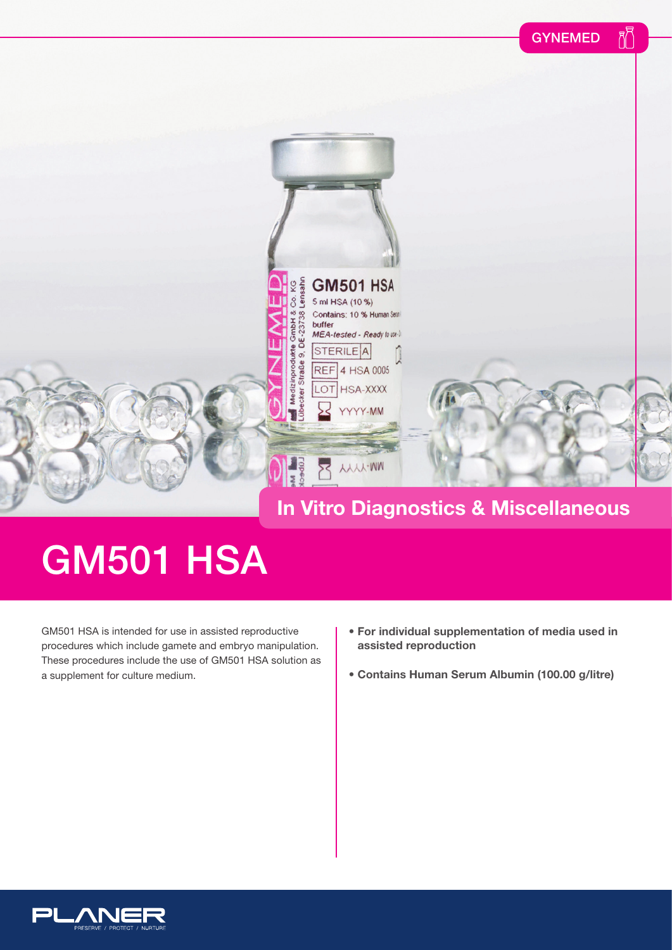

## **GM501 HSA**

GM501 HSA is intended for use in assisted reproductive procedures which include gamete and embryo manipulation. These procedures include the use of GM501 HSA solution as a supplement for culture medium.

- **For individual supplementation of media used in assisted reproduction**
- **Contains Human Serum Albumin (100.00 g/litre)**